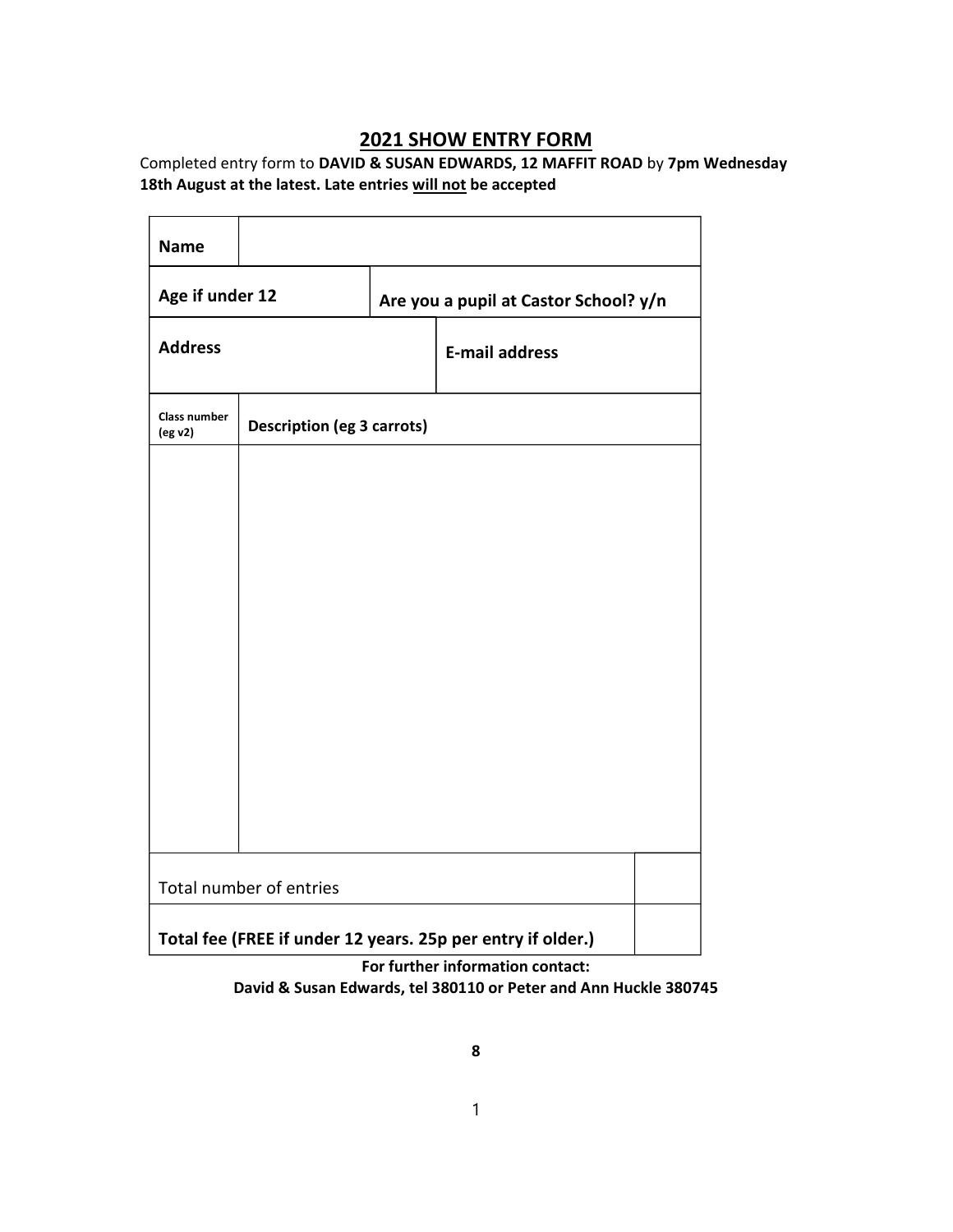## 2021 SHOW ENTRY FORM

Completed entry form to DAVID & SUSAN EDWARDS, 12 MAFFIT ROAD by 7pm Wednesday 18th August at the latest. Late entries will not be accepted

| <b>Name</b>                    |                                   |                                                             |  |
|--------------------------------|-----------------------------------|-------------------------------------------------------------|--|
| Age if under 12                |                                   | Are you a pupil at Castor School? y/n                       |  |
| <b>Address</b>                 |                                   | <b>E-mail address</b>                                       |  |
| <b>Class number</b><br>(eg v2) | <b>Description (eg 3 carrots)</b> |                                                             |  |
|                                |                                   |                                                             |  |
|                                |                                   |                                                             |  |
|                                |                                   |                                                             |  |
|                                |                                   |                                                             |  |
|                                |                                   |                                                             |  |
|                                |                                   |                                                             |  |
|                                |                                   |                                                             |  |
|                                | Total number of entries           |                                                             |  |
|                                |                                   | Total fee (FREE if under 12 years. 25p per entry if older.) |  |

For further information contact: David & Susan Edwards, tel 380110 or Peter and Ann Huckle 380745

1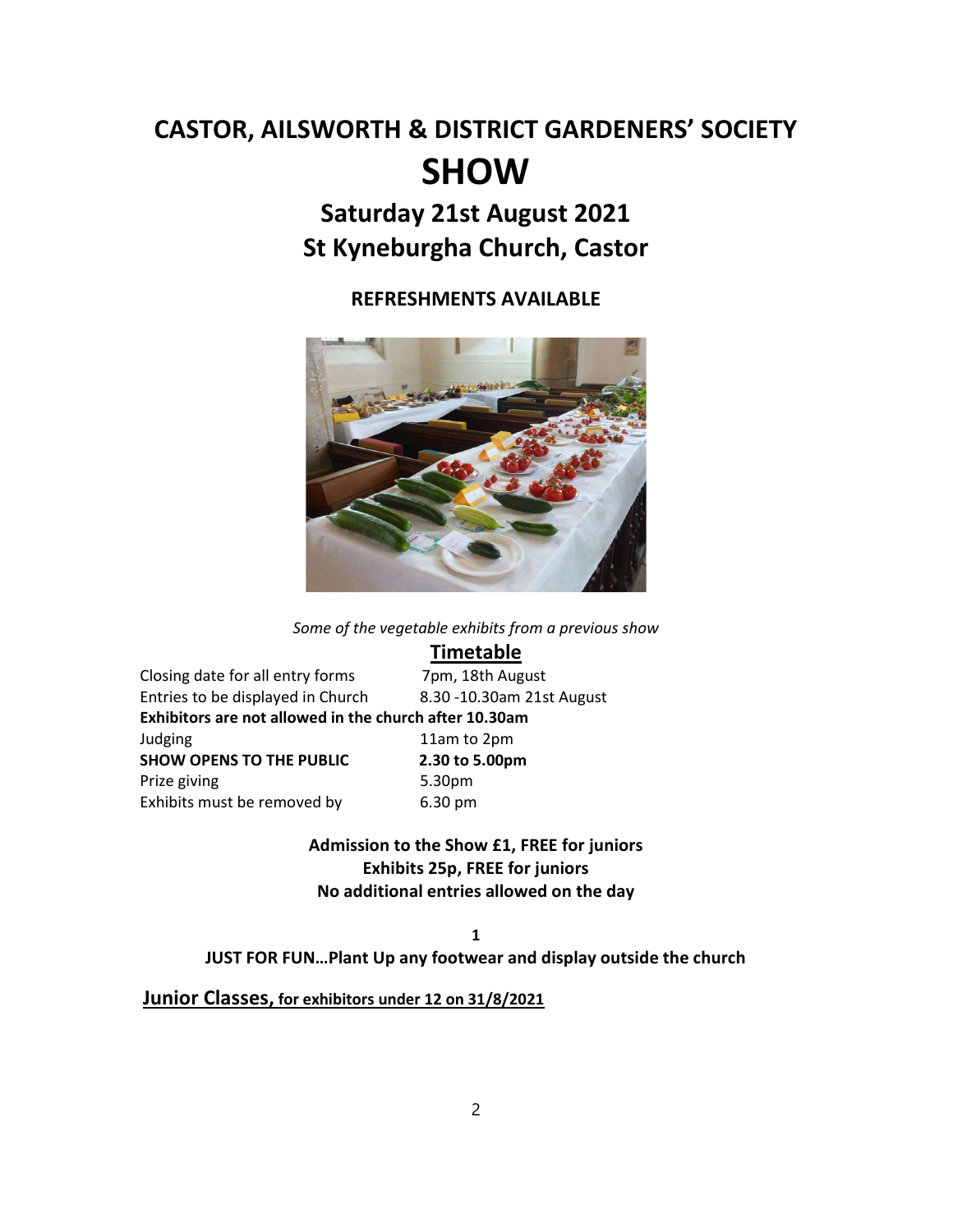# CASTOR, AILSWORTH & DISTRICT GARDENERS' SOCIETY SHOW

## Saturday 21st August 2021 St Kyneburgha Church, Castor

REFRESHMENTS AVAILABLE



Some of the vegetable exhibits from a previous show

## **Timetable**

| Closing date for all entry forms                       | 7pm, 18th August          |
|--------------------------------------------------------|---------------------------|
| Entries to be displayed in Church                      | 8.30 -10.30am 21st August |
| Exhibitors are not allowed in the church after 10.30am |                           |
| Judging                                                | 11am to 2pm               |
| <b>SHOW OPENS TO THE PUBLIC</b>                        | 2.30 to 5.00pm            |
| Prize giving                                           | 5.30pm                    |
| Exhibits must be removed by                            | 6.30 pm                   |

5.00pm Admission to the Show £1, FREE for juniors

Exhibits 25p, FREE for juniors No additional entries allowed on the day

1

JUST FOR FUN…Plant Up any footwear and display outside the church

Junior Classes, for exhibitors under 12 on 31/8/2021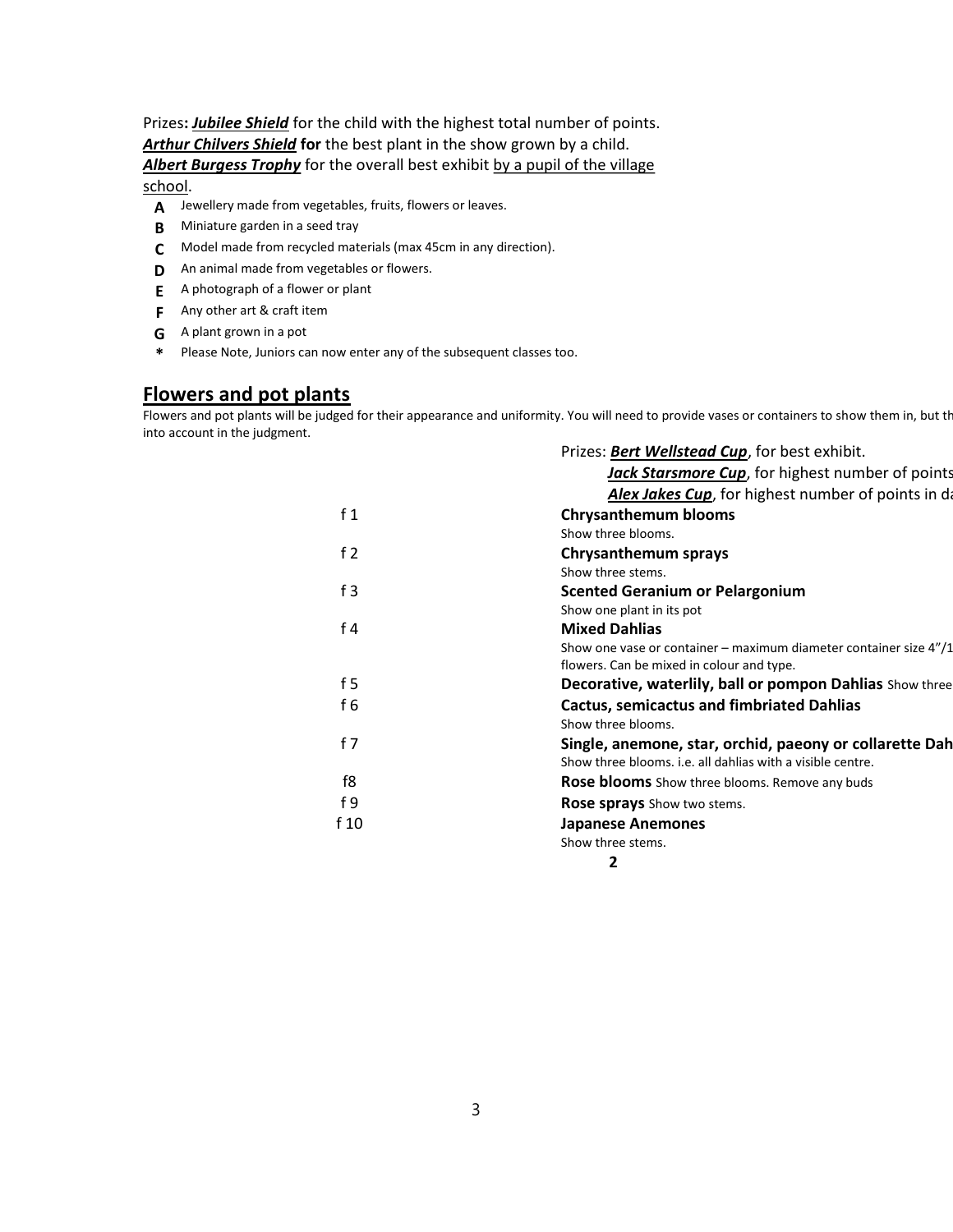Prizes: **Jubilee Shield** for the child with the highest total number of points. Arthur Chilvers Shield for the best plant in the show grown by a child. Albert Burgess Trophy for the overall best exhibit by a pupil of the village school.

- A Jewellery made from vegetables, fruits, flowers or leaves.
- **B** Miniature garden in a seed tray
- C Model made from recycled materials (max 45cm in any direction).
- **D** An animal made from vegetables or flowers.
- E A photograph of a flower or plant
- **F** Any other art & craft item
- G A plant grown in a pot
- \* Please Note, Juniors can now enter any of the subsequent classes too.

#### Flowers and pot plants

Flowers and pot plants will be judged for their appearance and uniformity. You will need to provide vases or containers to show them in, but the into account in the judgment.

|                | Prizes: Bert Wellstead Cup, for best exhibit.                        |
|----------------|----------------------------------------------------------------------|
|                | Jack Starsmore Cup, for highest number of points                     |
|                | Alex Jakes Cup, for highest number of points in da                   |
| f <sub>1</sub> | <b>Chrysanthemum blooms</b>                                          |
|                | Show three blooms.                                                   |
| f <sub>2</sub> | <b>Chrysanthemum sprays</b>                                          |
|                | Show three stems.                                                    |
| f3             | <b>Scented Geranium or Pelargonium</b>                               |
|                | Show one plant in its pot                                            |
| f <sub>4</sub> | <b>Mixed Dahlias</b>                                                 |
|                | Show one vase or container – maximum diameter container size $4''/1$ |
|                | flowers. Can be mixed in colour and type.                            |
| f 5            | Decorative, waterlily, ball or pompon Dahlias Show three             |
| f <sub>6</sub> | <b>Cactus, semicactus and fimbriated Dahlias</b>                     |
|                | Show three blooms.                                                   |
| f 7            | Single, anemone, star, orchid, paeony or collarette Dah              |
|                | Show three blooms, i.e. all dahlias with a visible centre.           |
| f8             | <b>Rose blooms</b> Show three blooms. Remove any buds                |
| f <sub>9</sub> | <b>Rose sprays</b> Show two stems.                                   |
| f 10           | <b>Japanese Anemones</b>                                             |
|                | Show three stems.                                                    |
|                | 2                                                                    |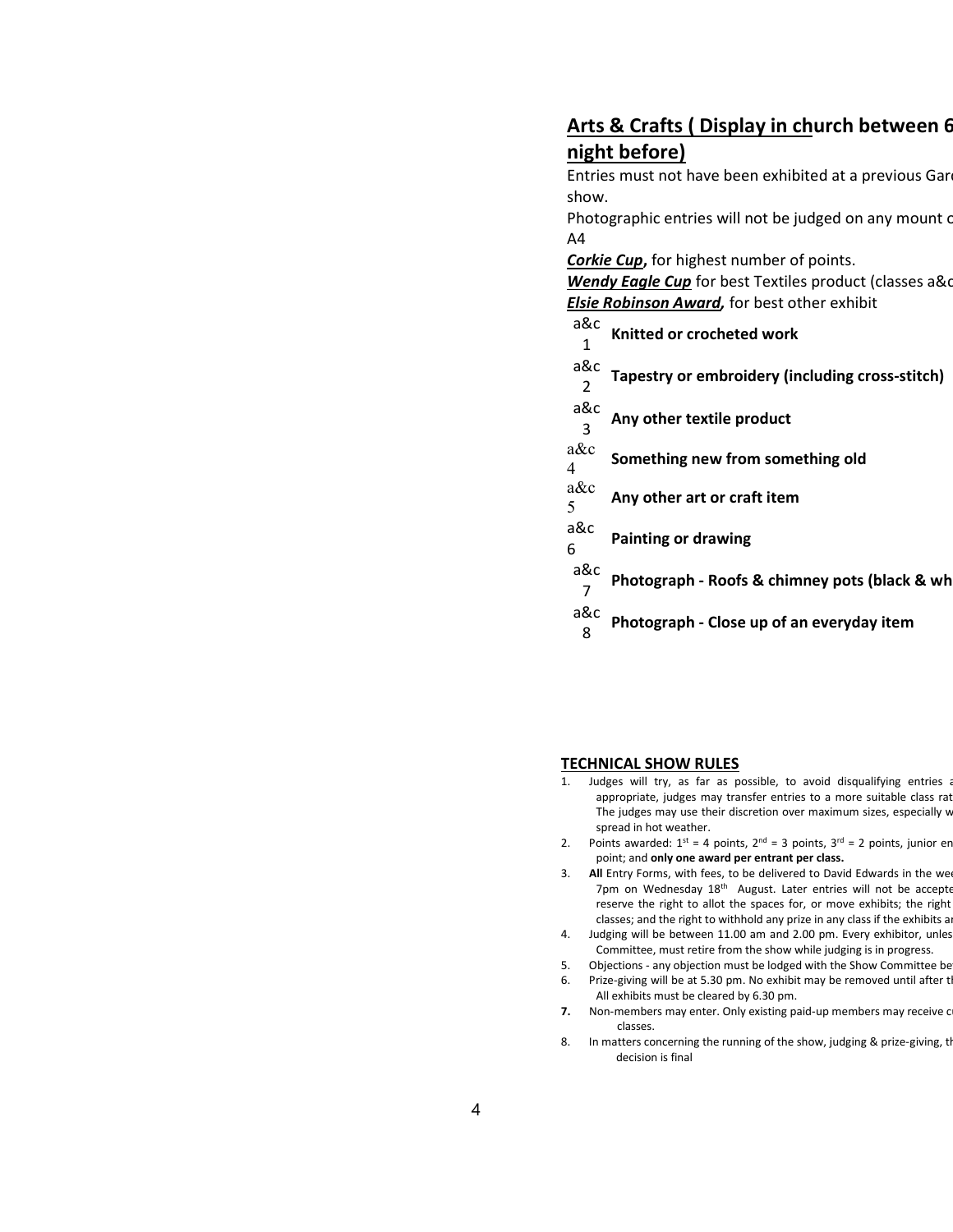## Arts & Crafts ( Display in church between 6 night before)

Entries must not have been exhibited at a previous Gar show.

Photographic entries will not be judged on any mount or A4

Corkie Cup, for highest number of points.

Wendy Eagle Cup for best Textiles product (classes a&c **Elsie Robinson Award**, for best other exhibit

| a&c    | Knitted or crocheted work                       |
|--------|-------------------------------------------------|
|        |                                                 |
| a&c    | Tapestry or embroidery (including cross-stitch) |
| a&c    | Any other textile product                       |
| $a\&c$ | Something new from something old                |
| a&c    | Any other art or craft item                     |
| a&c    | <b>Painting or drawing</b>                      |
| a&c    | Photograph - Roofs & chimney pots (black & wh   |
| a&c    | Photograph - Close up of an everyday item       |
|        |                                                 |

#### TECHNICAL SHOW RULES

- 1. Judges will try, as far as possible, to avoid disqualifying entries a appropriate, judges may transfer entries to a more suitable class rat The judges may use their discretion over maximum sizes, especially w spread in hot weather.
- 2. Points awarded:  $1^{st} = 4$  points,  $2^{nd} = 3$  points,  $3^{rd} = 2$  points, junior er point; and only one award per entrant per class.
- 3. All Entry Forms, with fees, to be delivered to David Edwards in the we 7pm on Wednesday 18<sup>th</sup> August. Later entries will not be accepte reserve the right to allot the spaces for, or move exhibits; the right classes; and the right to withhold any prize in any class if the exhibits a
- 4. Judging will be between 11.00 am and 2.00 pm. Every exhibitor, unles Committee, must retire from the show while judging is in progress.
- 5. Objections any objection must be lodged with the Show Committee be 6. Prize-giving will be at 5.30 pm. No exhibit may be removed until after t All exhibits must be cleared by 6.30 pm.
- 7. Non-members may enter. Only existing paid-up members may receive c classes.
- 8. In matters concerning the running of the show, judging & prize-giving, the decision is final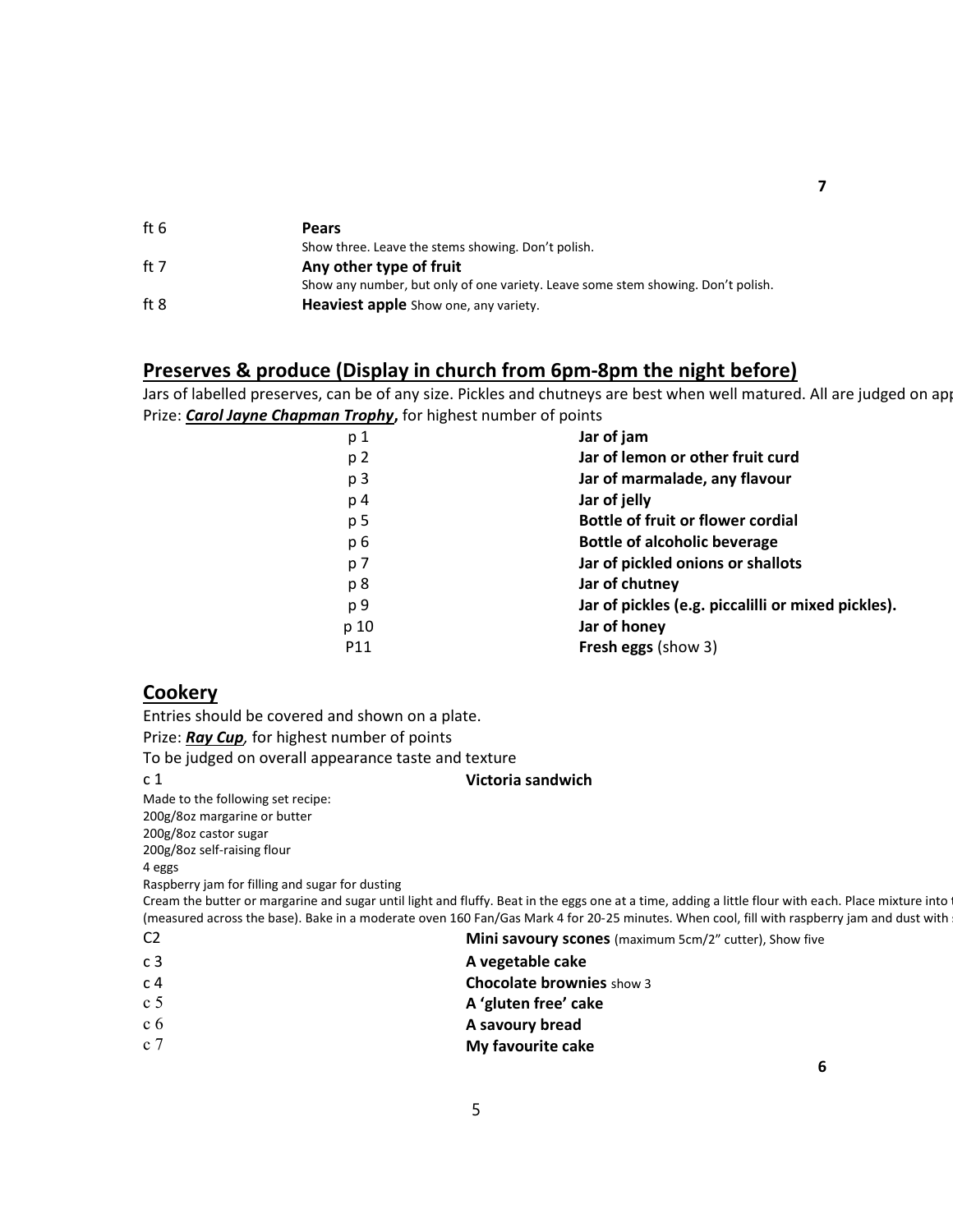| ft 6 | <b>Pears</b>                                                                     |
|------|----------------------------------------------------------------------------------|
|      | Show three. Leave the stems showing. Don't polish.                               |
| ft 7 | Any other type of fruit                                                          |
|      | Show any number, but only of one variety. Leave some stem showing. Don't polish. |
| ft 8 | Heaviest apple Show one, any variety.                                            |

#### Preserves & produce (Display in church from 6pm-8pm the night before)

Jars of labelled preserves, can be of any size. Pickles and chutneys are best when well matured. All are judged on ap Prize: **Carol Jayne Chapman Trophy**, for highest number of points

| p 1            | Jar of jam                                         |
|----------------|----------------------------------------------------|
| p 2            | Jar of lemon or other fruit curd                   |
| p <sub>3</sub> | Jar of marmalade, any flavour                      |
| p 4            | Jar of jelly                                       |
| p 5            | <b>Bottle of fruit or flower cordial</b>           |
| p 6            | <b>Bottle of alcoholic beverage</b>                |
| p 7            | Jar of pickled onions or shallots                  |
| p 8            | Jar of chutney                                     |
| p 9            | Jar of pickles (e.g. piccalilli or mixed pickles). |
| p 10           | Jar of honey                                       |
| P11            | <b>Fresh eggs (show 3)</b>                         |
|                |                                                    |

#### **Cookery**

Entries should be covered and shown on a plate.

Prize: Ray Cup, for highest number of points

To be judged on overall appearance taste and texture

#### c 1 Victoria sandwich

Made to the following set recipe:

200g/8oz margarine or butter

200g/8oz castor sugar

200g/8oz self-raising flour

4 eggs

Raspberry jam for filling and sugar for dusting

Cream the butter or margarine and sugar until light and fluffy. Beat in the eggs one at a time, adding a little flour with each. Place mixture into (measured across the base). Bake in a moderate oven 160 Fan/Gas Mark 4 for 20-25 minutes. When cool, fill with raspberry jam and dust with

C2 **Mini savoury scones** (maximum 5cm/2" cutter), Show five

5

- c 3 **A** vegetable cake
- c 4 Chocolate brownies show 3
- $\begin{array}{ccc} c & 5 \\ c & 5 \end{array}$  A 'gluten free' cake
- c 6 **A savoury bread**
- c 7 My favourite cake
	-

7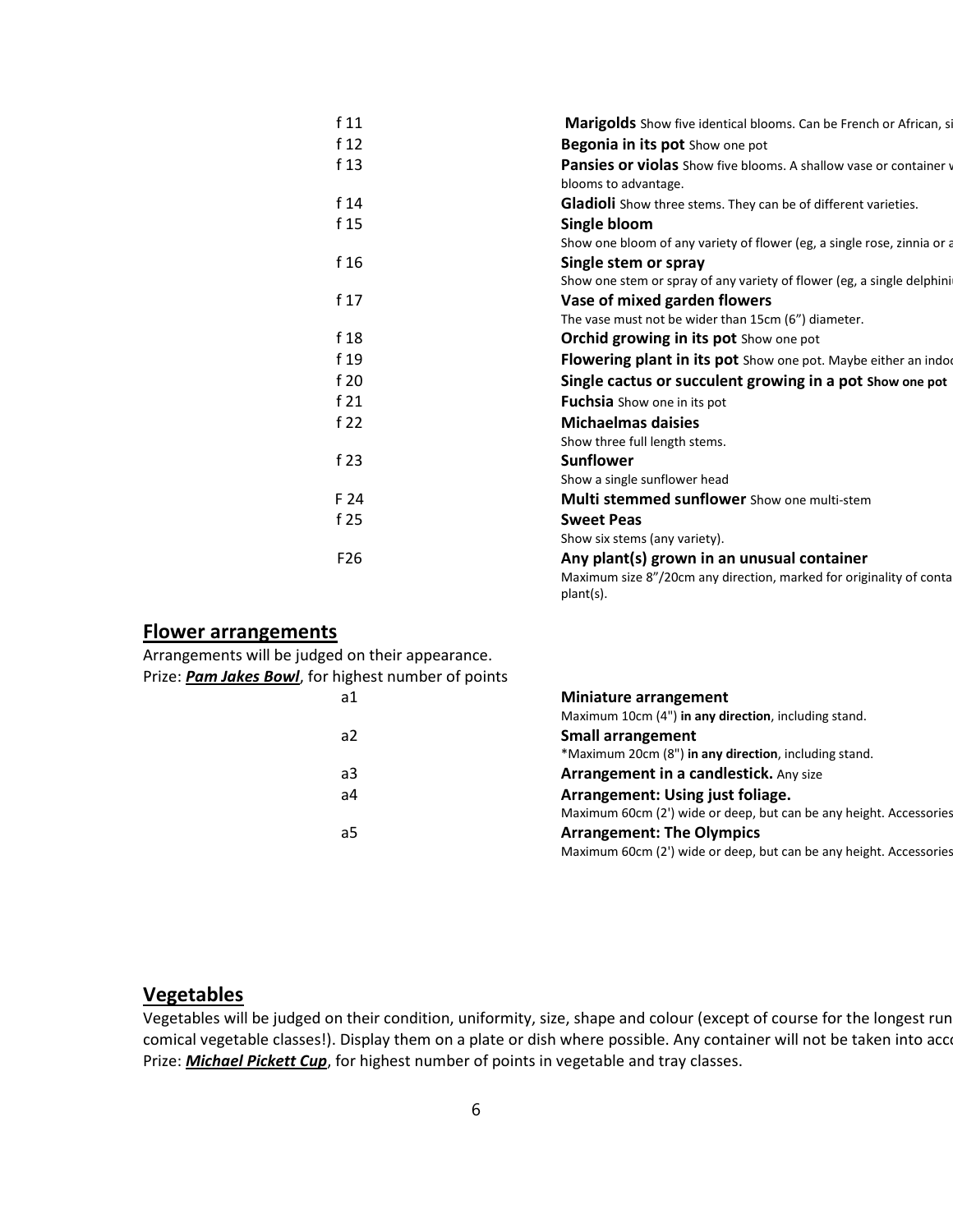| f11             | Marigolds Show five identical blooms. Can be French or African, si      |
|-----------------|-------------------------------------------------------------------------|
| f <sub>12</sub> | Begonia in its pot Show one pot                                         |
| f 13            | Pansies or violas Show five blooms. A shallow vase or container v       |
|                 | blooms to advantage.                                                    |
| f 14            | Gladioli Show three stems. They can be of different varieties.          |
| f <sub>15</sub> | Single bloom                                                            |
|                 | Show one bloom of any variety of flower (eg, a single rose, zinnia or a |
| f 16            | Single stem or spray                                                    |
|                 | Show one stem or spray of any variety of flower (eg, a single delphini  |
| f <sub>17</sub> | Vase of mixed garden flowers                                            |
|                 | The vase must not be wider than 15cm (6") diameter.                     |
| f 18            | <b>Orchid growing in its pot Show one pot</b>                           |
| f 19            | Flowering plant in its pot Show one pot. Maybe either an indo           |
| f 20            | Single cactus or succulent growing in a pot Show one pot                |
| f21             | <b>Fuchsia</b> Show one in its pot                                      |
| f $22$          | <b>Michaelmas daisies</b>                                               |
|                 | Show three full length stems.                                           |
| f 23            | <b>Sunflower</b>                                                        |
|                 | Show a single sunflower head                                            |
| F 24            | <b>Multi stemmed sunflower</b> Show one multi-stem                      |
| f 25            | <b>Sweet Peas</b>                                                       |
|                 | Show six stems (any variety).                                           |
| F <sub>26</sub> | Any plant(s) grown in an unusual container                              |
|                 | Maximum size 8"/20cm any direction, marked for originality of conta     |
|                 | plant(s).                                                               |

### Flower arrangements

| Arrangements will be judged on their appearance.    |                                                                    |
|-----------------------------------------------------|--------------------------------------------------------------------|
| Prize: Pam Jakes Bowl, for highest number of points |                                                                    |
| a1                                                  | Miniature arrangement                                              |
|                                                     | Maximum 10cm (4") in any direction, including stand.               |
| a2                                                  | <b>Small arrangement</b>                                           |
|                                                     | *Maximum 20cm (8") in any direction, including stand.              |
| a3                                                  | Arrangement in a candlestick. Any size                             |
| a4                                                  | Arrangement: Using just foliage.                                   |
|                                                     | Maximum 60cm (2') wide or deep, but can be any height. Accessories |
| a5                                                  | <b>Arrangement: The Olympics</b>                                   |
|                                                     | Maximum 60cm (2') wide or deep, but can be any height. Accessories |
|                                                     |                                                                    |

## Vegetables

Vegetables will be judged on their condition, uniformity, size, shape and colour (except of course for the longest run comical vegetable classes!). Display them on a plate or dish where possible. Any container will not be taken into acc Prize: **Michael Pickett Cup**, for highest number of points in vegetable and tray classes.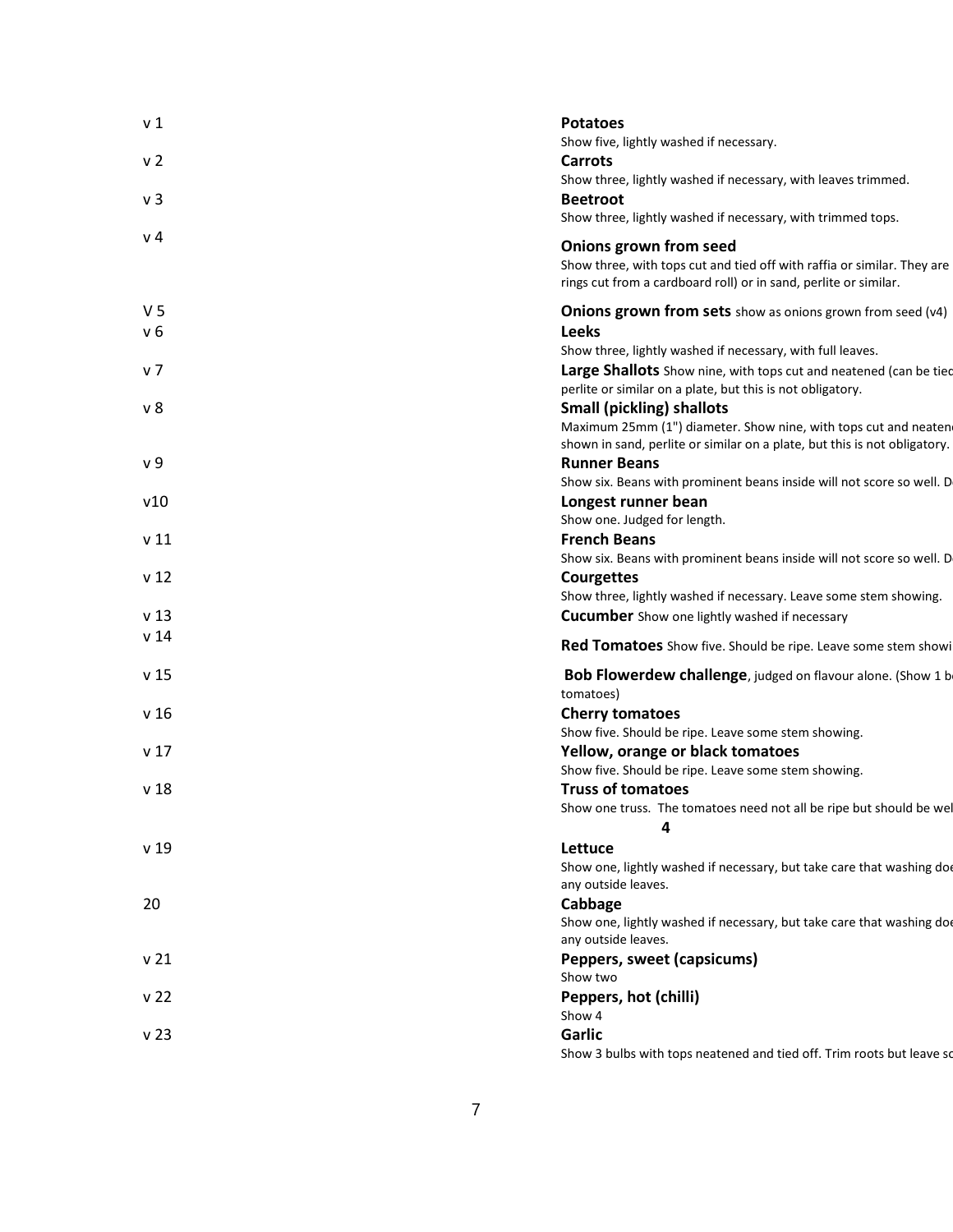| v <sub>1</sub>  | <b>Potatoes</b><br>Show five, lightly washed if necessary.                                                                                  |
|-----------------|---------------------------------------------------------------------------------------------------------------------------------------------|
| v 2             | <b>Carrots</b><br>Show three, lightly washed if necessary, with leaves trimmed.                                                             |
| v <sub>3</sub>  | <b>Beetroot</b><br>Show three, lightly washed if necessary, with trimmed tops.                                                              |
| v <sub>4</sub>  | Onions grown from seed                                                                                                                      |
|                 | Show three, with tops cut and tied off with raffia or similar. They are<br>rings cut from a cardboard roll) or in sand, perlite or similar. |
| V <sub>5</sub>  | <b>Onions grown from sets</b> show as onions grown from seed (v4)                                                                           |
| v 6             | <b>Leeks</b><br>Show three, lightly washed if necessary, with full leaves.                                                                  |
| v 7             | Large Shallots Show nine, with tops cut and neatened (can be tied<br>perlite or similar on a plate, but this is not obligatory.             |
| ν8              | <b>Small (pickling) shallots</b>                                                                                                            |
|                 | Maximum 25mm (1") diameter. Show nine, with tops cut and neaten                                                                             |
| v 9             | shown in sand, perlite or similar on a plate, but this is not obligatory.<br><b>Runner Beans</b>                                            |
|                 | Show six. Beans with prominent beans inside will not score so well. D                                                                       |
| v10             | Longest runner bean                                                                                                                         |
|                 | Show one. Judged for length.                                                                                                                |
| v 11            | <b>French Beans</b>                                                                                                                         |
|                 | Show six. Beans with prominent beans inside will not score so well. D                                                                       |
| v <sub>12</sub> | <b>Courgettes</b>                                                                                                                           |
|                 | Show three, lightly washed if necessary. Leave some stem showing.                                                                           |
| v <sub>13</sub> | <b>Cucumber</b> Show one lightly washed if necessary                                                                                        |
| v 14            | Red Tomatoes Show five. Should be ripe. Leave some stem showi                                                                               |
| v 15            | <b>Bob Flowerdew challenge</b> , judged on flavour alone. (Show 1 b<br>tomatoes)                                                            |
| v 16            | <b>Cherry tomatoes</b>                                                                                                                      |
|                 | Show five. Should be ripe. Leave some stem showing.                                                                                         |
| v 17            | Yellow, orange or black tomatoes                                                                                                            |
|                 | Show five. Should be ripe. Leave some stem showing.                                                                                         |
| v <sub>18</sub> | <b>Truss of tomatoes</b><br>Show one truss. The tomatoes need not all be ripe but should be we                                              |
|                 | 4                                                                                                                                           |
| v <sub>19</sub> | Lettuce                                                                                                                                     |
|                 | Show one, lightly washed if necessary, but take care that washing doe<br>any outside leaves.                                                |
| 20              | Cabbage                                                                                                                                     |
|                 | Show one, lightly washed if necessary, but take care that washing doe<br>any outside leaves.                                                |
| v 21            | Peppers, sweet (capsicums)<br>Show two                                                                                                      |
| v <sub>22</sub> | Peppers, hot (chilli)                                                                                                                       |
|                 | Show 4                                                                                                                                      |
| v <sub>23</sub> | Garlic                                                                                                                                      |
|                 | Show 3 bulbs with tops neatened and tied off. Trim roots but leave so                                                                       |